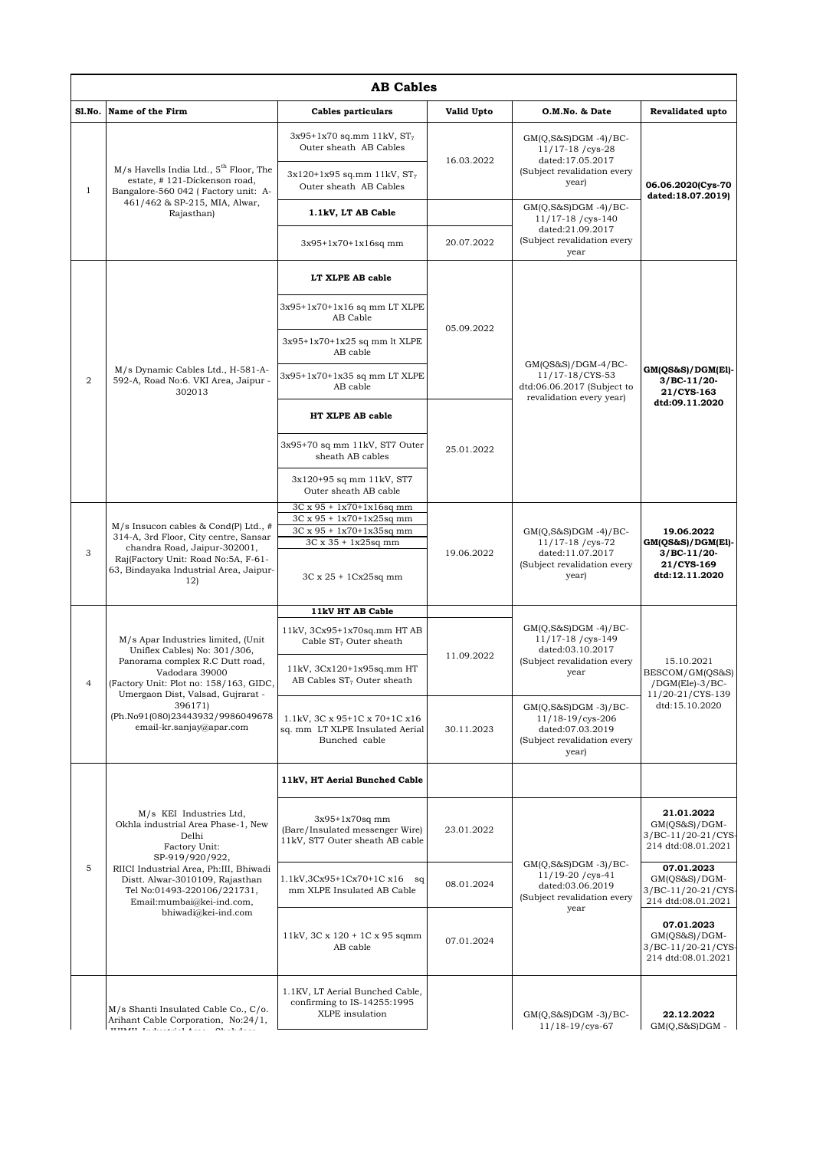| <b>AB Cables</b> |                                                                                                                                                                                                                                                                                   |                                                                                        |                   |                                                                                                           |                                                                                    |  |  |
|------------------|-----------------------------------------------------------------------------------------------------------------------------------------------------------------------------------------------------------------------------------------------------------------------------------|----------------------------------------------------------------------------------------|-------------------|-----------------------------------------------------------------------------------------------------------|------------------------------------------------------------------------------------|--|--|
| S1.No.           | Name of the Firm                                                                                                                                                                                                                                                                  | <b>Cables particulars</b>                                                              | <b>Valid Upto</b> | O.M.No. & Date                                                                                            | Revalidated upto                                                                   |  |  |
| $\mathbf{1}$     | $M/s$ Havells India Ltd., $5th$ Floor, The<br>estate, #121-Dickenson road,<br>Bangalore-560 042 (Factory unit: A-<br>461/462 & SP-215, MIA, Alwar,<br>Rajasthan)                                                                                                                  | $3x95+1x70$ sq.mm 11kV, $ST_7$<br>Outer sheath AB Cables                               | 16.03.2022        | $GM(Q,S&S)DGM -4)/BC-$<br>$11/17-18$ /cys-28<br>dated:17.05.2017                                          |                                                                                    |  |  |
|                  |                                                                                                                                                                                                                                                                                   | $3x120+1x95$ sq.mm 11kV, $ST_7$<br>Outer sheath AB Cables                              |                   | (Subject revalidation every<br>year)                                                                      | 06.06.2020(Cys-70<br>dated:18.07.2019)                                             |  |  |
|                  |                                                                                                                                                                                                                                                                                   | 1.1kV, LT AB Cable                                                                     |                   | $GM(Q,S&S)DGM -4)/BC-$<br>11/17-18 / cys-140                                                              |                                                                                    |  |  |
|                  |                                                                                                                                                                                                                                                                                   | $3x95+1x70+1x16sq$ mm                                                                  | 20.07.2022        | dated:21.09.2017<br>(Subject revalidation every<br>year                                                   |                                                                                    |  |  |
| $\overline{2}$   | M/s Dynamic Cables Ltd., H-581-A-<br>592-A, Road No:6. VKI Area, Jaipur -<br>302013                                                                                                                                                                                               | LT XLPE AB cable                                                                       | 05.09.2022        | $GM(QS&S)/DGM-4/BC-$<br>11/17-18/CYS-53<br>dtd:06.06.2017 (Subject to<br>revalidation every year)         | GM(QS&S)/DGM(E1)-<br>$3/BC-11/20-$<br>21/CYS-163<br>dtd:09.11.2020                 |  |  |
|                  |                                                                                                                                                                                                                                                                                   | 3x95+1x70+1x16 sq mm LT XLPE<br>AB Cable                                               |                   |                                                                                                           |                                                                                    |  |  |
|                  |                                                                                                                                                                                                                                                                                   | 3x95+1x70+1x25 sq mm lt XLPE<br>AB cable                                               |                   |                                                                                                           |                                                                                    |  |  |
|                  |                                                                                                                                                                                                                                                                                   | 3x95+1x70+1x35 sq mm LT XLPE<br>AB cable                                               |                   |                                                                                                           |                                                                                    |  |  |
|                  |                                                                                                                                                                                                                                                                                   | HT XLPE AB cable                                                                       | 25.01.2022        |                                                                                                           |                                                                                    |  |  |
|                  |                                                                                                                                                                                                                                                                                   | 3x95+70 sq mm 11kV, ST7 Outer<br>sheath AB cables                                      |                   |                                                                                                           |                                                                                    |  |  |
|                  |                                                                                                                                                                                                                                                                                   | 3x120+95 sq mm 11kV, ST7<br>Outer sheath AB cable                                      |                   |                                                                                                           |                                                                                    |  |  |
|                  | $M/s$ Insucon cables & Cond(P) Ltd., #<br>314-A, 3rd Floor, City centre, Sansar<br>chandra Road, Jaipur-302001,<br>Raj(Factory Unit: Road No:5A, F-61-<br>63, Bindayaka Industrial Area, Jaipur-<br>12)                                                                           | 3C x 95 + 1x70+1x16sq mm<br>3C x 95 + 1x70+1x25sq mm<br>3C x 95 + 1x70+1x35sq mm       | 19.06.2022        | $GM(Q, S&S)DGM -4)/BC-$<br>$11/17-18$ /cys-72<br>dated:11.07.2017<br>(Subject revalidation every<br>year) | 19.06.2022<br>$GM(OS&S)/DGM(El)$ -<br>$3/BC-11/20$<br>21/CYS-169<br>dtd:12.11.2020 |  |  |
| 3                |                                                                                                                                                                                                                                                                                   | 3C x 35 + 1x25sq mm                                                                    |                   |                                                                                                           |                                                                                    |  |  |
|                  |                                                                                                                                                                                                                                                                                   | $3C \times 25 + 1Cx25sq$ mm                                                            |                   |                                                                                                           |                                                                                    |  |  |
|                  |                                                                                                                                                                                                                                                                                   | 11kV HT AB Cable                                                                       |                   |                                                                                                           |                                                                                    |  |  |
| 4                | M/s Apar Industries limited, (Unit<br>Uniflex Cables) No: 301/306,<br>Panorama complex R.C Dutt road,<br>Vadodara 39000<br>(Factory Unit: Plot no: 158/163, GIDC,<br>Umergaon Dist, Valsad, Gujrarat -<br>396171)<br>(Ph.No91(080)23443932/9986049678<br>email-kr.sanjay@apar.com | 11kV, 3Cx95+1x70sq.mm HT AB<br>Cable $ST7$ Outer sheath                                | 11.09.2022        | $GM(Q,S&S)DGM -4)/BC-$<br>11/17-18 / cys-149<br>dated:03.10.2017<br>(Subject revalidation every<br>year   | 15.10.2021<br>BESCOM/GM(QS&S)<br>$/$ DGM(Ele)-3/BC-                                |  |  |
|                  |                                                                                                                                                                                                                                                                                   | 11kV, 3Cx120+1x95sq.mm HT<br>AB Cables $ST7$ Outer sheath                              |                   |                                                                                                           |                                                                                    |  |  |
|                  |                                                                                                                                                                                                                                                                                   | 1.1kV, 3C x 95+1C x 70+1C x16<br>sq. mm LT XLPE Insulated Aerial<br>Bunched cable      | 30.11.2023        | $GM(Q, S&S)DGM -3)/BC-$<br>11/18-19/cys-206<br>dated:07.03.2019<br>(Subject revalidation every<br>year)   | 11/20-21/CYS-139<br>dtd:15.10.2020                                                 |  |  |
| 5                | M/s KEI Industries Ltd,<br>Okhla industrial Area Phase-1, New<br>Delhi<br>Factory Unit:<br>SP-919/920/922,<br>RIICI Industrial Area, Ph:III, Bhiwadi<br>Distt. Alwar-3010109, Rajasthan<br>Tel No:01493-220106/221731,<br>Email:mumbai@kei-ind.com,<br>bhiwadi@kei-ind.com        | 11kV, HT Aerial Bunched Cable                                                          |                   |                                                                                                           |                                                                                    |  |  |
|                  |                                                                                                                                                                                                                                                                                   | $3x95+1x70sq$ mm<br>(Bare/Insulated messenger Wire)<br>11kV, ST7 Outer sheath AB cable | 23.01.2022        |                                                                                                           | 21.01.2022<br>GM(QS&S)/DGM-<br>3/BC-11/20-21/CYS-<br>214 dtd:08.01.2021            |  |  |
|                  |                                                                                                                                                                                                                                                                                   | 1.1kV,3Cx95+1Cx70+1C x16 sq<br>mm XLPE Insulated AB Cable                              | 08.01.2024        | $GM(Q,S&S)DGM -3)/BC-$<br>11/19-20 / cys-41<br>dated:03.06.2019<br>(Subject revalidation every<br>year    | 07.01.2023<br>GM(QS&S)/DGM-<br>3/BC-11/20-21/CYS-<br>214 dtd:08.01.2021            |  |  |
|                  |                                                                                                                                                                                                                                                                                   | 11kV, 3C x 120 + 1C x 95 sqmm<br>AB cable                                              | 07.01.2024        |                                                                                                           | 07.01.2023<br>GM(QS&S)/DGM-<br>3/BC-11/20-21/CYS-<br>214 dtd:08.01.2021            |  |  |
|                  | M/s Shanti Insulated Cable Co., C/o.<br>Arihant Cable Corporation, No:24/1,<br>TETTATT To decorated Assoc. Objects down                                                                                                                                                           | 1.1KV, LT Aerial Bunched Cable,<br>confirming to IS-14255:1995<br>XLPE insulation      |                   | $GM(Q, S&S)DGM -3)/BC-$<br>11/18-19/cys-67                                                                | 22.12.2022<br>$GM(Q, S&S)DGM -$                                                    |  |  |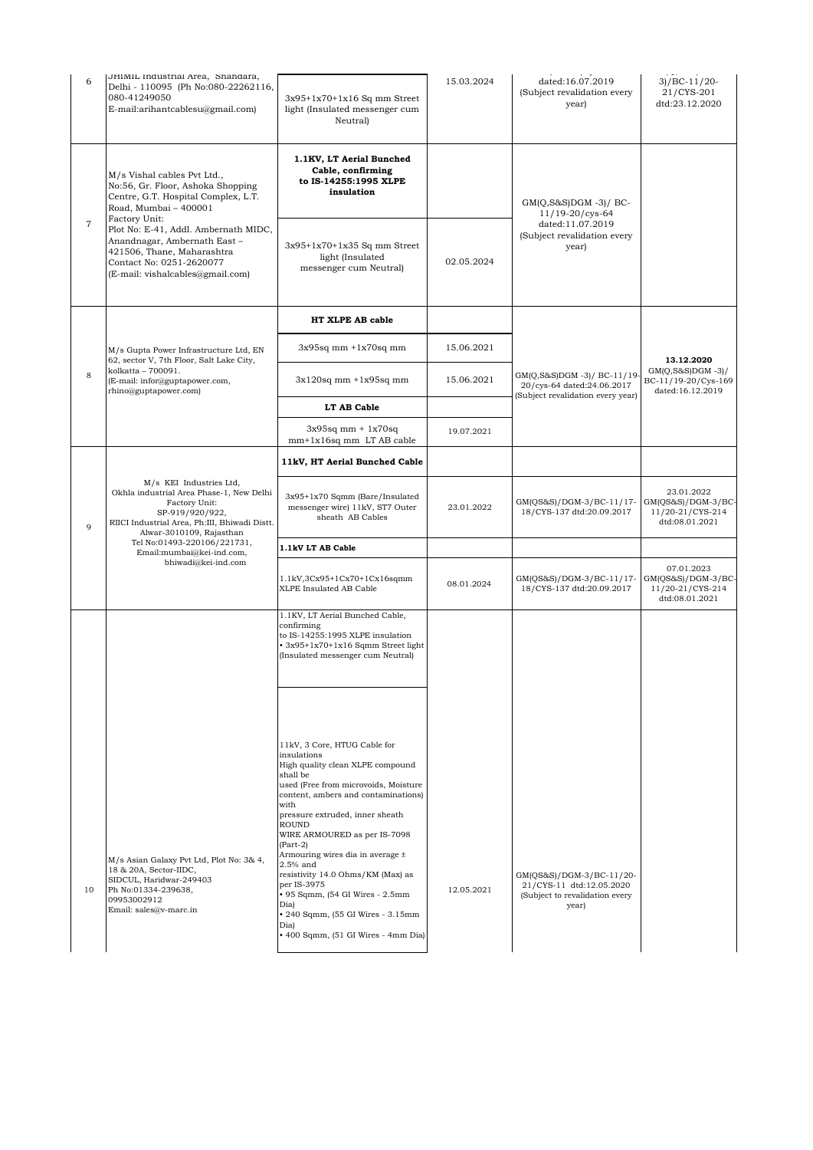| 6              | JHIMIL Industrial Area, Shandara,<br>Delhi - 110095 (Ph No:080-22262116,<br>080-41249050<br>E-mail:arihantcablesu@gmail.com)                                                                                                                                                                                           | $3x95+1x70+1x16$ Sq mm Street<br>light (Insulated messenger cum<br><b>Neutrall</b>                                                                                                                                                                                                                                                         | 15.03.2024 | dated:16.07.2019<br>(Subject revalidation every<br>year)                                        | $3)/BC-11/20-$<br>21/CYS-201<br>dtd:23.12.2020                                |
|----------------|------------------------------------------------------------------------------------------------------------------------------------------------------------------------------------------------------------------------------------------------------------------------------------------------------------------------|--------------------------------------------------------------------------------------------------------------------------------------------------------------------------------------------------------------------------------------------------------------------------------------------------------------------------------------------|------------|-------------------------------------------------------------------------------------------------|-------------------------------------------------------------------------------|
| $\overline{7}$ | M/s Vishal cables Pvt Ltd.,<br>No:56, Gr. Floor, Ashoka Shopping<br>Centre, G.T. Hospital Complex, L.T.<br>Road, Mumbai - 400001<br>Factory Unit:<br>Plot No: E-41, Addl. Ambernath MIDC,<br>Anandnagar, Ambernath East-<br>421506, Thane, Maharashtra<br>Contact No: 0251-2620077<br>(E-mail: vishalcables@gmail.com) | 1.1KV, LT Aerial Bunched<br>Cable, confirming<br>to IS-14255:1995 XLPE<br>insulation                                                                                                                                                                                                                                                       |            | $GM(Q,S\&S)DGM -3)/BC$<br>$11/19 - 20/cys - 64$                                                 |                                                                               |
|                |                                                                                                                                                                                                                                                                                                                        | $3x95+1x70+1x35$ Sq mm Street<br>light (Insulated<br>messenger cum Neutral)                                                                                                                                                                                                                                                                | 02.05.2024 | dated:11.07.2019<br>(Subject revalidation every<br>year)                                        |                                                                               |
|                | M/s Gupta Power Infrastructure Ltd, EN<br>62, sector V, 7th Floor, Salt Lake City,<br>kolkatta - 700091.<br>(E-mail: infor@guptapower.com,<br>rhino@guptapower.com)                                                                                                                                                    | HT XLPE AB cable                                                                                                                                                                                                                                                                                                                           |            |                                                                                                 |                                                                               |
|                |                                                                                                                                                                                                                                                                                                                        | $3x95sq$ mm $+1x70sq$ mm                                                                                                                                                                                                                                                                                                                   | 15.06.2021 |                                                                                                 | 13.12.2020<br>$GM(Q, S&S)DGM -3)/$<br>BC-11/19-20/Cys-169<br>dated:16.12.2019 |
| 8              |                                                                                                                                                                                                                                                                                                                        | $3x120$ sq mm $+1x95$ sq mm                                                                                                                                                                                                                                                                                                                | 15.06.2021 | GM(Q,S&S)DGM-3)/BC-11/19<br>20/cys-64 dated:24.06.2017                                          |                                                                               |
|                |                                                                                                                                                                                                                                                                                                                        | LT AB Cable                                                                                                                                                                                                                                                                                                                                |            | (Subject revalidation every year)                                                               |                                                                               |
|                |                                                                                                                                                                                                                                                                                                                        | $3x95sq$ mm + $1x70sq$<br>mm+1x16sq mm LT AB cable                                                                                                                                                                                                                                                                                         | 19.07.2021 |                                                                                                 |                                                                               |
| 9              | M/s KEI Industries Ltd,<br>Okhla industrial Area Phase-1, New Delhi<br>Factory Unit:<br>SP-919/920/922,<br>RIICI Industrial Area, Ph:III, Bhiwadi Distt.<br>Alwar-3010109, Rajasthan<br>Tel No:01493-220106/221731,<br>Email:mumbai@kei-ind.com,<br>bhiwadi@kei-ind.com                                                | 11kV, HT Aerial Bunched Cable                                                                                                                                                                                                                                                                                                              |            |                                                                                                 |                                                                               |
|                |                                                                                                                                                                                                                                                                                                                        | 3x95+1x70 Sqmm (Bare/Insulated<br>messenger wire) 11kV, ST7 Outer<br>sheath AB Cables                                                                                                                                                                                                                                                      | 23.01.2022 | GM(QS&S)/DGM-3/BC-11/17-<br>18/CYS-137 dtd:20.09.2017                                           | 23.01.2022<br>GM(QS&S)/DGM-3/BC-<br>11/20-21/CYS-214<br>dtd:08.01.2021        |
|                |                                                                                                                                                                                                                                                                                                                        | 1.1kV LT AB Cable                                                                                                                                                                                                                                                                                                                          |            |                                                                                                 |                                                                               |
|                |                                                                                                                                                                                                                                                                                                                        | $1.1kV$ , $3Cx95+1Cx70+1Cx16sqmm$<br>XLPE Insulated AB Cable                                                                                                                                                                                                                                                                               | 08.01.2024 | GM(QS&S)/DGM-3/BC-11/17-<br>18/CYS-137 dtd:20.09.2017                                           | 07.01.2023<br>GM(QS&S)/DGM-3/BC-<br>11/20-21/CYS-214<br>dtd:08.01.2021        |
|                |                                                                                                                                                                                                                                                                                                                        | 1.1KV, LT Aerial Bunched Cable,<br>confirming<br>to IS-14255:1995 XLPE insulation<br>· 3x95+1x70+1x16 Sqmm Street light<br>(Insulated messenger cum Neutral)                                                                                                                                                                               |            |                                                                                                 |                                                                               |
|                |                                                                                                                                                                                                                                                                                                                        | 11kV, 3 Core, HTUG Cable for<br>insulations<br>High quality clean XLPE compound<br>shall be<br>used (Free from microvoids, Moisture<br>content, ambers and contaminations)                                                                                                                                                                 |            |                                                                                                 |                                                                               |
| 10             | M/s Asian Galaxy Pvt Ltd, Plot No: 3& 4,<br>18 & 20A, Sector-IIDC,<br>SIDCUL, Haridwar-249403<br>Ph No:01334-239638,<br>09953002912<br>Email: sales@v-marc.in                                                                                                                                                          | with<br>pressure extruded, inner sheath<br><b>ROUND</b><br>WIRE ARMOURED as per IS-7098<br>$(Part-2)$<br>Armouring wires dia in average ±<br>$2.5%$ and<br>resistivity 14.0 Ohms/KM (Max) as<br>per IS-3975<br>• 95 Sqmm, (54 GI Wires - 2.5mm<br>Dia)<br>• 240 Sqmm, (55 GI Wires - 3.15mm<br>Dia)<br>• 400 Sqmm, (51 GI Wires - 4mm Dia) | 12.05.2021 | GM(QS&S)/DGM-3/BC-11/20-<br>21/CYS-11 dtd:12.05.2020<br>(Subject to revalidation every<br>year) |                                                                               |